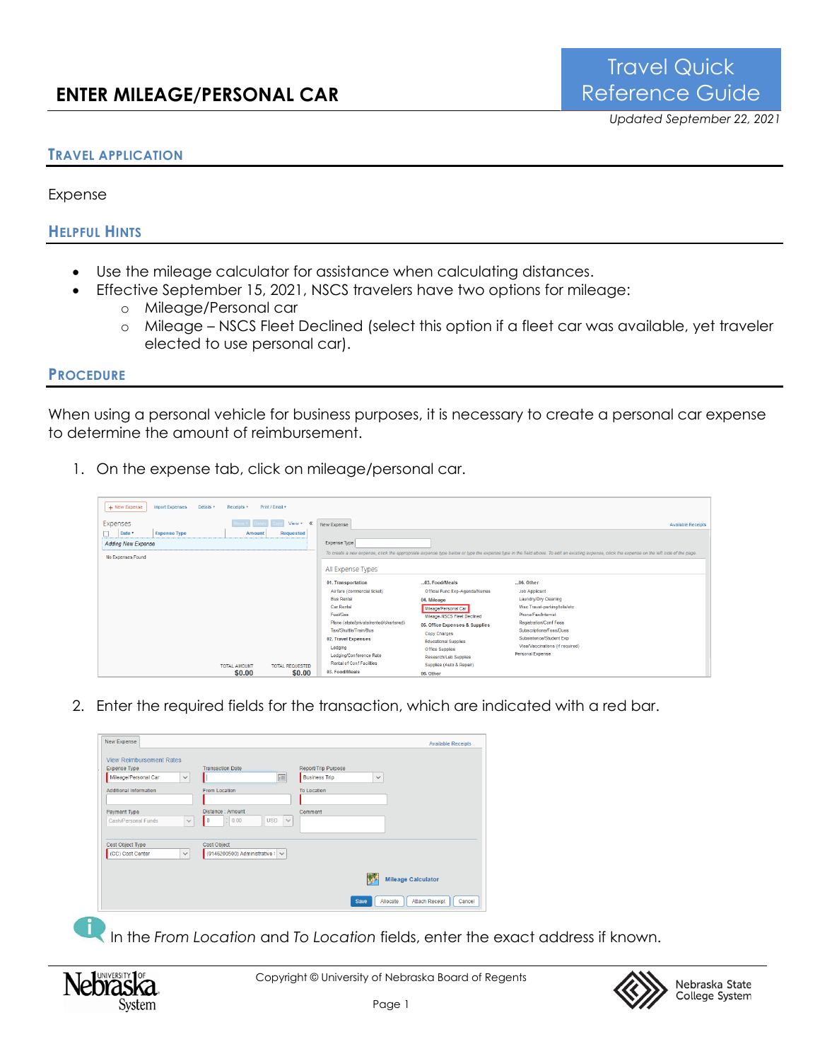## **TRAVEL APPLICATION**

Expense

**HELPFUL HINTS**

- Use the mileage calculator for assistance when calculating distances.
- Effective September 15, 2021, NSCS travelers have two options for mileage:
	- o Mileage/Personal car
	- o Mileage NSCS Fleet Declined (select this option if a fleet car was available, yet traveler elected to use personal car).

## **PROCEDURE**

When using a personal vehicle for business purposes, it is necessary to create a personal car expense to determine the amount of reimbursement.

1. On the expense tab, click on mileage/personal car.

| + New Expense<br>Import Expenses<br>Details <b>v</b> | Receipts <b>v</b>   | Print / Email *        |                                                                                                                                                                                     |                                                                                                                                                              |                                                                                                                                                                                             |
|------------------------------------------------------|---------------------|------------------------|-------------------------------------------------------------------------------------------------------------------------------------------------------------------------------------|--------------------------------------------------------------------------------------------------------------------------------------------------------------|---------------------------------------------------------------------------------------------------------------------------------------------------------------------------------------------|
| Expenses<br>Date *<br><b>Expense Type</b>            | Amount              | View * <<br>Requested  | New Expense                                                                                                                                                                         |                                                                                                                                                              | <b>Available Receipts</b>                                                                                                                                                                   |
| <b>Adding New Expense</b>                            |                     |                        | Expense Type                                                                                                                                                                        |                                                                                                                                                              |                                                                                                                                                                                             |
| No Expenses Found                                    |                     |                        | All Expense Types                                                                                                                                                                   |                                                                                                                                                              | To create a new expense, click the appropriate expense type below or type the expense type in the field above. To edit an existing expense, click the expense on the left side of the page. |
|                                                      |                     |                        | 01. Transportation<br>Airfare (commercial ticket)<br><b>Bus Rental</b><br><b>Car Rental</b><br>Fuel/Gas                                                                             | 03. Food/Meals<br>Official Func Exp-Agenda/Names<br>04. Mileage<br>Mileage/Personal Car<br>Mileage-NSCS Fleet Declined                                       | 06. Other<br><b>Job Applicant</b><br>Laundry/Dry Cleaning<br>Misc Travel parking/tolls/etc<br>Phone/Fax/Internet                                                                            |
|                                                      | <b>TOTAL AMOUNT</b> | <b>TOTAL REQUESTED</b> | Plane (state/private/rented/chartered)<br>Taxi/Shuttle/Train/Bus<br>02. Travel Expenses<br>Lodging<br>Lodging/Conference Rate<br><b>Rental of Conf Facilities</b><br>03. Food/Meals | 05. Office Expenses & Supplies<br><b>Copy Charges</b><br><b>Educational Supplies</b><br>Office Supplies<br>Research/Lab Supplies<br>Supplies (Auto & Repair) | <b>Registration/Conf Fees</b><br>Subscriptions/Fees/Dues<br>Subsistence/Student Exp<br>Visa/Vaccinations (if required)<br>Personal Expense                                                  |
|                                                      | \$0.00              | \$0.00                 |                                                                                                                                                                                     | 06. Other                                                                                                                                                    |                                                                                                                                                                                             |

2. Enter the required fields for the transaction, which are indicated with a red bar.

| Expense Type                         | <b>Transaction Date</b>                                              | Report/Trip Purpose                  |
|--------------------------------------|----------------------------------------------------------------------|--------------------------------------|
| Mileage/Personal Car<br>$\checkmark$ | 圃                                                                    | <b>Business Trip</b><br>$\checkmark$ |
| <b>Additional Information</b>        | <b>From Location</b>                                                 | <b>To Location</b>                   |
| Payment Type                         | Distance : Amount                                                    | Comment                              |
| <b>Cash/Personal Funds</b>           | $\mathbf{I}$<br>: 0.00<br><b>USD</b><br>$\checkmark$<br>$\checkmark$ |                                      |
| Cost Object Type                     | Cost Object                                                          |                                      |
| (CC) Cost Center<br>$\checkmark$     | (9146200500) Administrative ! ~                                      |                                      |
|                                      |                                                                      |                                      |

In the *From Location and To Location fields, enter the exact address if known.*